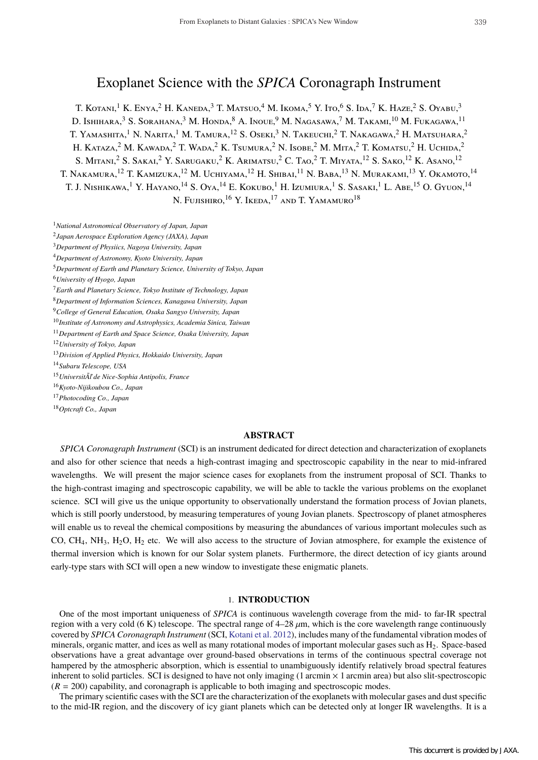# Exoplanet Science with the *SPICA* Coronagraph Instrument

T. KOTANI,<sup>1</sup> K. ENYA,<sup>2</sup> H. KANEDA,<sup>3</sup> T. MATSUO,<sup>4</sup> M. IKOMA,<sup>5</sup> Y. Ito,<sup>6</sup> S. Ida,<sup>7</sup> K. Haze,<sup>2</sup> S. Oyabu,<sup>3</sup> D. Ishihara,<sup>3</sup> S. Sorahana,<sup>3</sup> M. Honda,<sup>8</sup> A. Inoue,<sup>9</sup> M. Nagasawa,<sup>7</sup> M. Takami,<sup>10</sup> M. Fukagawa,<sup>11</sup> T. Yamashita,<sup>1</sup> N. Narita,<sup>1</sup> M. Tamura,<sup>12</sup> S. Oseki,<sup>3</sup> N. Takeuchi,<sup>2</sup> T. Nakagawa,<sup>2</sup> H. Matsuhara,<sup>2</sup> H. KATAZA,<sup>2</sup> M. KAWADA,<sup>2</sup> T. WADA,<sup>2</sup> K. Tsumura,<sup>2</sup> N. Isobe,<sup>2</sup> M. Mita,<sup>2</sup> T. Komatsu,<sup>2</sup> H. Uchida,<sup>2</sup> S. Mitani,<sup>2</sup> S. Sakai,<sup>2</sup> Y. Sarugaku,<sup>2</sup> K. Arimatsu,<sup>2</sup> C. Tao,<sup>2</sup> T. Miyata,<sup>12</sup> S. Sako,<sup>12</sup> K. Asano,<sup>12</sup> T. Nakamura,<sup>12</sup> T. Kamizuka,<sup>12</sup> M. Uchiyama,<sup>12</sup> H. Shibai,<sup>11</sup> N. Baba,<sup>13</sup> N. Murakami,<sup>13</sup> Y. Okamoto,<sup>14</sup> T. J. Nishikawa,<sup>1</sup> Y. Hayano,<sup>14</sup> S. Oya,<sup>14</sup> E. Kokubo,<sup>1</sup> H. Izumiura,<sup>1</sup> S. Sasaki,<sup>1</sup> L. Abe,<sup>15</sup> O. Gyuon,<sup>14</sup> N. Fujishiro, <sup>16</sup> Y. Ikeda, <sup>17</sup> and T. Yamamuro<sup>18</sup>

<sup>1</sup>*National Astronomical Observatory of Japan, Japan*

<sup>2</sup>*Japan Aerospace Exploration Agency (JAXA), Japan*

<sup>3</sup>*Department of Physiics, Nagoya University, Japan*

<sup>4</sup>*Department of Astronomy, Kyoto University, Japan*

<sup>5</sup>*Department of Earth and Planetary Science, University of Tokyo, Japan*

<sup>6</sup>*University of Hyogo, Japan*

<sup>7</sup>*Earth and Planetary Science, Tokyo Institute of Technology, Japan*

<sup>8</sup>*Department of Information Sciences, Kanagawa University, Japan*

<sup>9</sup>*College of General Education, Osaka Sangyo University, Japan*

<sup>10</sup>*Institute of Astronomy and Astrophysics, Academia Sinica, Taiwan*

<sup>11</sup>*Department of Earth and Space Science, Osaka University, Japan*

<sup>12</sup>*University of Tokyo, Japan*

<sup>13</sup>*Division of Applied Physics, Hokkaido University, Japan*

<sup>14</sup>*Subaru Telescope, USA*

<sup>15</sup>*UniversitÃľ de Nice-Sophia Antipolis, France*

<sup>16</sup>*Kyoto-Nijikoubou Co., Japan*

<sup>17</sup>*Photocoding Co., Japan*

<sup>18</sup>*Optcraft Co., Japan*

# **ABSTRACT**

*SPICA Coronagraph Instrument* (SCI) is an instrument dedicated for direct detection and characterization of exoplanets and also for other science that needs a high-contrast imaging and spectroscopic capability in the near to mid-infrared wavelengths. We will present the major science cases for exoplanets from the instrument proposal of SCI. Thanks to the high-contrast imaging and spectroscopic capability, we will be able to tackle the various problems on the exoplanet science. SCI will give us the unique opportunity to observationally understand the formation process of Jovian planets, which is still poorly understood, by measuring temperatures of young Jovian planets. Spectroscopy of planet atmospheres will enable us to reveal the chemical compositions by measuring the abundances of various important molecules such as CO, CH4, NH3, H2O, H2 etc. We will also access to the structure of Jovian atmosphere, for example the existence of thermal inversion which is known for our Solar system planets. Furthermore, the direct detection of icy giants around early-type stars with SCI will open a new window to investigate these enigmatic planets.

# 1. **INTRODUCTION**

One of the most important uniqueness of *SPICA* is continuous wavelength coverage from the mid- to far-IR spectral region with a very cold (6 K) telescope. The spectral range of  $4-28 \mu m$ , which is the core wavelength range continuously covered by *SPICA Coronagraph Instrument* (SCI, Kotani et al. 2012), includes many of the fundamental vibration modes of minerals, organic matter, and ices as well as many rotational modes of important molecular gases such as H2. Space-based observations have a great advantage over ground-based observations in terms of the continuous spectral coverage not hampered by the atmospheric absorption, which is essential to unambiguously identify relatively broad spectral features inherent to solid particles. SCI is designed to have not only imaging (1 arcmin × 1 arcmin area) but also slit-spectroscopic  $(R = 200)$  capability, and coronagraph is applicable to both imaging and spectroscopic modes.

The primary scientific cases with the SCI are the characterization of the exoplanets with molecular gases and dust specific to the mid-IR region, and the discovery of icy giant planets which can be detected only at longer IR wavelengths. It is a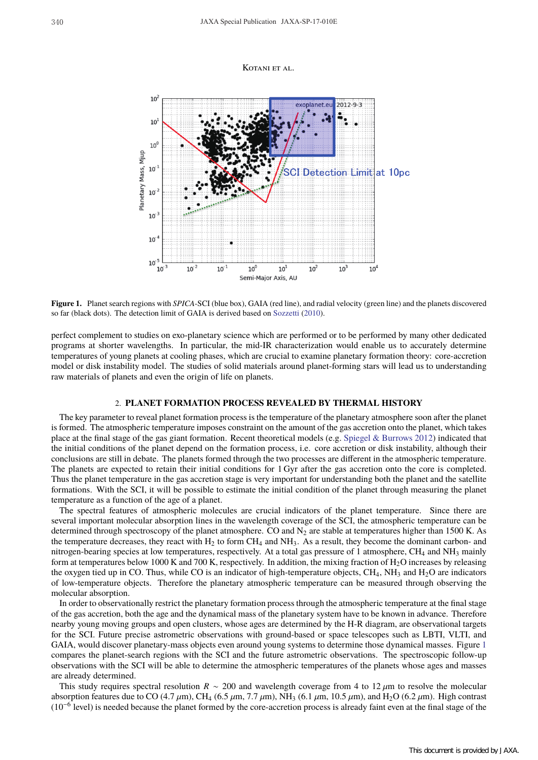#### KOTANI ET AL.



**Figure 1.** Planet search regions with *SPICA*-SCI (blue box), GAIA (red line), and radial velocity (green line) and the planets discovered so far (black dots). The detection limit of GAIA is derived based on Sozzetti (2010).

perfect complement to studies on exo-planetary science which are performed or to be performed by many other dedicated programs at shorter wavelengths. In particular, the mid-IR characterization would enable us to accurately determine temperatures of young planets at cooling phases, which are crucial to examine planetary formation theory: core-accretion model or disk instability model. The studies of solid materials around planet-forming stars will lead us to understanding raw materials of planets and even the origin of life on planets.

#### 2. **PLANET FORMATION PROCESS REVEALED BY THERMAL HISTORY**

The key parameter to reveal planet formation process is the temperature of the planetary atmosphere soon after the planet is formed. The atmospheric temperature imposes constraint on the amount of the gas accretion onto the planet, which takes place at the final stage of the gas giant formation. Recent theoretical models (e.g. Spiegel & Burrows 2012) indicated that the initial conditions of the planet depend on the formation process, i.e. core accretion or disk instability, although their conclusions are still in debate. The planets formed through the two processes are different in the atmospheric temperature. The planets are expected to retain their initial conditions for 1 Gyr after the gas accretion onto the core is completed. Thus the planet temperature in the gas accretion stage is very important for understanding both the planet and the satellite formations. With the SCI, it will be possible to estimate the initial condition of the planet through measuring the planet temperature as a function of the age of a planet.

The spectral features of atmospheric molecules are crucial indicators of the planet temperature. Since there are several important molecular absorption lines in the wavelength coverage of the SCI, the atmospheric temperature can be determined through spectroscopy of the planet atmosphere. CO and  $N_2$  are stable at temperatures higher than 1500 K. As the temperature decreases, they react with  $H_2$  to form  $CH_4$  and  $NH_3$ . As a result, they become the dominant carbon- and nitrogen-bearing species at low temperatures, respectively. At a total gas pressure of 1 atmosphere,  $CH_4$  and  $NH_3$  mainly form at temperatures below 1000 K and 700 K, respectively. In addition, the mixing fraction of  $H_2O$  increases by releasing the oxygen tied up in CO. Thus, while CO is an indicator of high-temperature objects,  $CH_4$ ,  $NH_3$  and  $H_2O$  are indicators of low-temperature objects. Therefore the planetary atmospheric temperature can be measured through observing the molecular absorption.

In order to observationally restrict the planetary formation process through the atmospheric temperature at the final stage of the gas accretion, both the age and the dynamical mass of the planetary system have to be known in advance. Therefore nearby young moving groups and open clusters, whose ages are determined by the H-R diagram, are observational targets for the SCI. Future precise astrometric observations with ground-based or space telescopes such as LBTI, VLTI, and GAIA, would discover planetary-mass objects even around young systems to determine those dynamical masses. Figure 1 compares the planet-search regions with the SCI and the future astrometric observations. The spectroscopic follow-up observations with the SCI will be able to determine the atmospheric temperatures of the planets whose ages and masses are already determined.

This study requires spectral resolution *R* ∼ 200 and wavelength coverage from 4 to 12 µm to resolve the molecular absorption features due to CO (4.7  $\mu$ m), CH<sub>4</sub> (6.5  $\mu$ m, 7.7  $\mu$ m), NH<sub>3</sub> (6.1  $\mu$ m, 10.5  $\mu$ m), and H<sub>2</sub>O (6.2  $\mu$ m). High contrast  $(10^{-6}$  level) is needed because the planet formed by the core-accretion process is already faint even at the final stage of the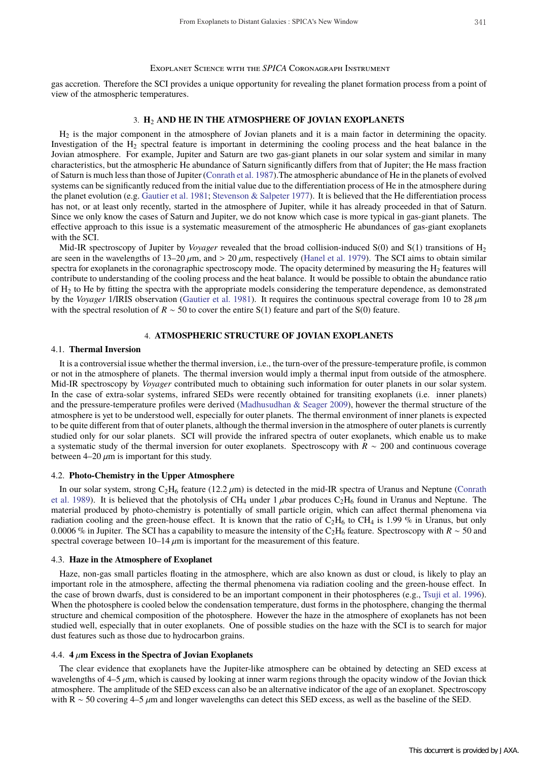gas accretion. Therefore the SCI provides a unique opportunity for revealing the planet formation process from a point of view of the atmospheric temperatures.

# 3. **H**<sup>2</sup> **AND HE IN THE ATMOSPHERE OF JOVIAN EXOPLANETS**

 $H<sub>2</sub>$  is the major component in the atmosphere of Jovian planets and it is a main factor in determining the opacity. Investigation of the H<sub>2</sub> spectral feature is important in determining the cooling process and the heat balance in the Jovian atmosphere. For example, Jupiter and Saturn are two gas-giant planets in our solar system and similar in many characteristics, but the atmospheric He abundance of Saturn significantly differs from that of Jupiter; the He mass fraction of Saturn is much less than those of Jupiter (Conrath et al. 1987).The atmospheric abundance of He in the planets of evolved systems can be significantly reduced from the initial value due to the differentiation process of He in the atmosphere during the planet evolution (e.g. Gautier et al. 1981; Stevenson & Salpeter 1977). It is believed that the He differentiation process has not, or at least only recently, started in the atmosphere of Jupiter, while it has already proceeded in that of Saturn. Since we only know the cases of Saturn and Jupiter, we do not know which case is more typical in gas-giant planets. The effective approach to this issue is a systematic measurement of the atmospheric He abundances of gas-giant exoplanets with the SCI.

Mid-IR spectroscopy of Jupiter by *Voyager* revealed that the broad collision-induced S(0) and S(1) transitions of H2 are seen in the wavelengths of  $13-20 \mu m$ , and  $> 20 \mu m$ , respectively (Hanel et al. 1979). The SCI aims to obtain similar spectra for exoplanets in the coronagraphic spectroscopy mode. The opacity determined by measuring the  $H_2$  features will contribute to understanding of the cooling process and the heat balance. It would be possible to obtain the abundance ratio of H2 to He by fitting the spectra with the appropriate models considering the temperature dependence, as demonstrated by the *Voyager* 1/IRIS observation (Gautier et al. 1981). It requires the continuous spectral coverage from 10 to 28 µm with the spectral resolution of *R* ∼ 50 to cover the entire S(1) feature and part of the S(0) feature.

## 4. **ATMOSPHERIC STRUCTURE OF JOVIAN EXOPLANETS**

## 4.1. **Thermal Inversion**

It is a controversial issue whether the thermal inversion, i.e., the turn-over of the pressure-temperature profile, is common or not in the atmosphere of planets. The thermal inversion would imply a thermal input from outside of the atmosphere. Mid-IR spectroscopy by *Voyager* contributed much to obtaining such information for outer planets in our solar system. In the case of extra-solar systems, infrared SEDs were recently obtained for transiting exoplanets (i.e. inner planets) and the pressure-temperature profiles were derived (Madhusudhan & Seager 2009), however the thermal structure of the atmosphere is yet to be understood well, especially for outer planets. The thermal environment of inner planets is expected to be quite different from that of outer planets, although the thermal inversion in the atmosphere of outer planets is currently studied only for our solar planets. SCI will provide the infrared spectra of outer exoplanets, which enable us to make a systematic study of the thermal inversion for outer exoplanets. Spectroscopy with *R* ∼ 200 and continuous coverage between  $4-20 \mu m$  is important for this study.

#### 4.2. **Photo-Chemistry in the Upper Atmosphere**

In our solar system, strong  $C_2H_6$  feature (12.2  $\mu$ m) is detected in the mid-IR spectra of Uranus and Neptune (Conrath et al. 1989). It is believed that the photolysis of CH<sub>4</sub> under 1  $\mu$ bar produces C<sub>2</sub>H<sub>6</sub> found in Uranus and Neptune. The material produced by photo-chemistry is potentially of small particle origin, which can affect thermal phenomena via radiation cooling and the green-house effect. It is known that the ratio of  $C_2H_6$  to CH<sub>4</sub> is 1.99 % in Uranus, but only 0.0006 % in Jupiter. The SCI has a capability to measure the intensity of the C2H6 feature. Spectroscopy with *R* ∼ 50 and spectral coverage between  $10-14 \mu m$  is important for the measurement of this feature.

## 4.3. **Haze in the Atmosphere of Exoplanet**

Haze, non-gas small particles floating in the atmosphere, which are also known as dust or cloud, is likely to play an important role in the atmosphere, affecting the thermal phenomena via radiation cooling and the green-house effect. In the case of brown dwarfs, dust is considered to be an important component in their photospheres (e.g., Tsuji et al. 1996). When the photosphere is cooled below the condensation temperature, dust forms in the photosphere, changing the thermal structure and chemical composition of the photosphere. However the haze in the atmosphere of exoplanets has not been studied well, especially that in outer exoplanets. One of possible studies on the haze with the SCI is to search for major dust features such as those due to hydrocarbon grains.

## 4.4.  $4 \mu m$  Excess in the Spectra of Jovian Exoplanets

The clear evidence that exoplanets have the Jupiter-like atmosphere can be obtained by detecting an SED excess at wavelengths of  $4-5 \mu m$ , which is caused by looking at inner warm regions through the opacity window of the Jovian thick atmosphere. The amplitude of the SED excess can also be an alternative indicator of the age of an exoplanet. Spectroscopy with R ∼ 50 covering 4–5  $\mu$ m and longer wavelengths can detect this SED excess, as well as the baseline of the SED.